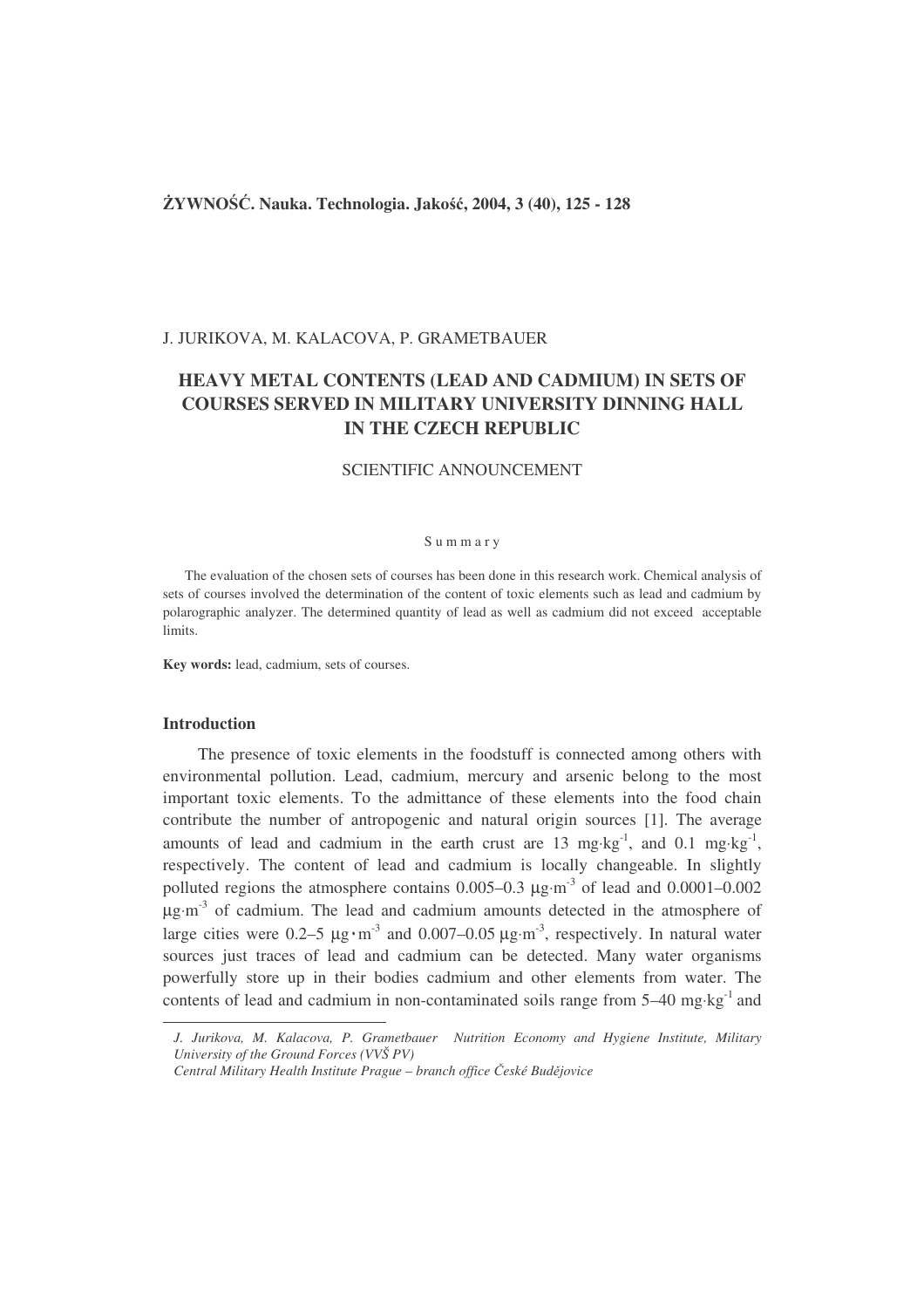## **YWNO**-**. Nauka. Technologia. Jako, 2004, 3 (40), 125 - 128**

## J. JURIKOVA, M. KALACOVA, P. GRAMETBAUER

# **HEAVY METAL CONTENTS (LEAD AND CADMIUM) IN SETS OF COURSES SERVED IN MILITARY UNIVERSITY DINNING HALL IN THE CZECH REPUBLIC**

## SCIENTIFIC ANNOUNCEMENT

#### S u m m a r y

The evaluation of the chosen sets of courses has been done in this research work. Chemical analysis of sets of courses involved the determination of the content of toxic elements such as lead and cadmium by polarographic analyzer. The determined quantity of lead as well as cadmium did not exceed acceptable limits.

**Key words:** lead, cadmium, sets of courses.

## **Introduction**

The presence of toxic elements in the foodstuff is connected among others with environmental pollution. Lead, cadmium, mercury and arsenic belong to the most important toxic elements. To the admittance of these elements into the food chain contribute the number of antropogenic and natural origin sources [1]. The average amounts of lead and cadmium in the earth crust are 13 mg⋅kg<sup>-1</sup>, and 0.1 mg⋅kg<sup>-1</sup>, respectively. The content of lead and cadmium is locally changeable. In slightly polluted regions the atmosphere contains  $0.005-0.3 \mu g \cdot m^{-3}$  of lead and  $0.0001-0.002$  $\mu$ g⋅m<sup>-3</sup> of cadmium. The lead and cadmium amounts detected in the atmosphere of large cities were  $0.2-5 \mu g \cdot m^{-3}$  and  $0.007-0.05 \mu g \cdot m^{-3}$ , respectively. In natural water sources just traces of lead and cadmium can be detected. Many water organisms powerfully store up in their bodies cadmium and other elements from water. The contents of lead and cadmium in non-contaminated soils range from  $5-40$  mg⋅kg<sup>-1</sup> and

*J. Jurikova, M. Kalacova, P. Grametbauer Nutrition Economy and Hygiene Institute, Military University of the Ground Forces (VVŠ PV)*

*Central Military Health Institute Prague – branch office eské Bud*-*jovice*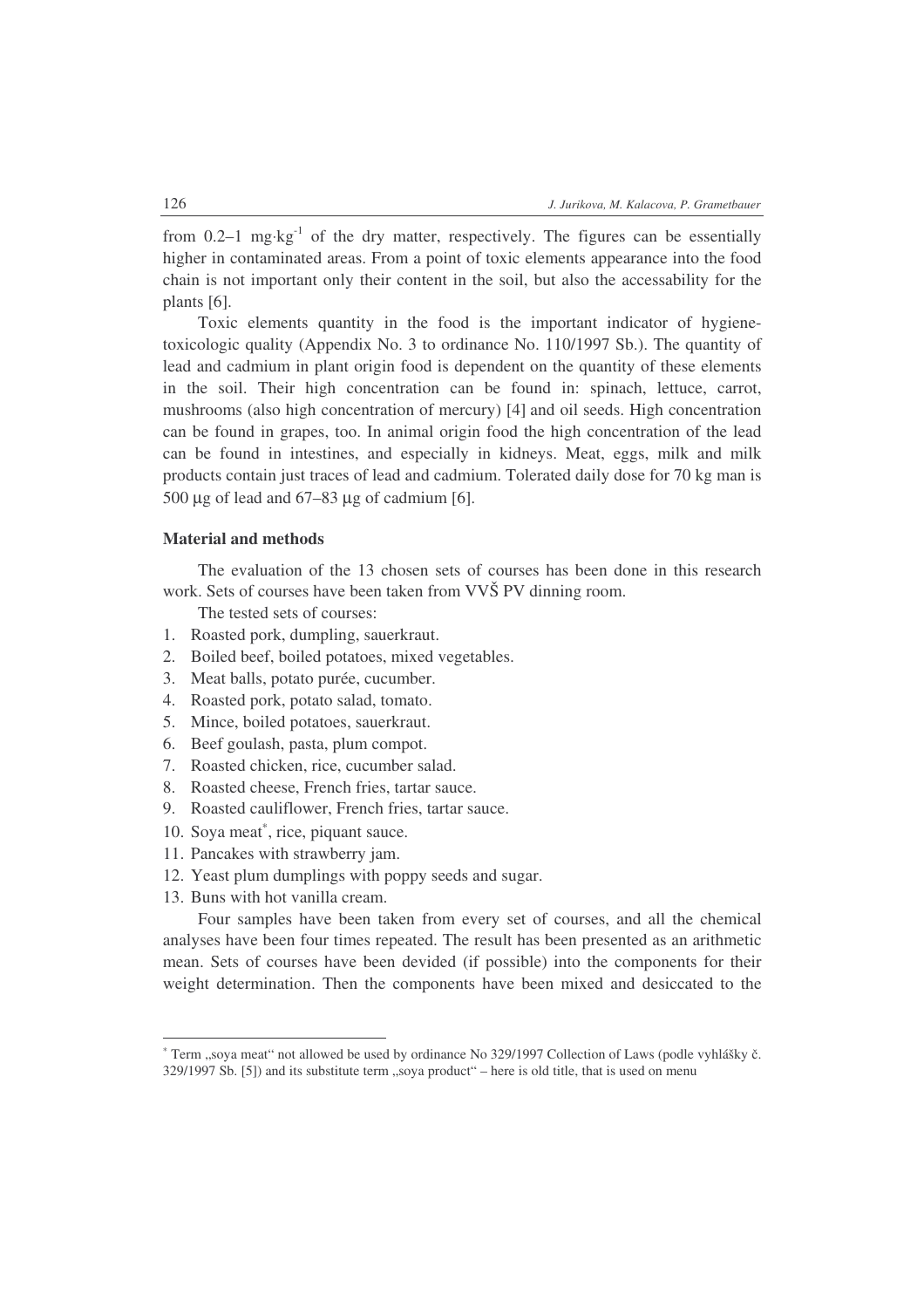from  $0.2-1$  mg⋅kg<sup>-1</sup> of the dry matter, respectively. The figures can be essentially higher in contaminated areas. From a point of toxic elements appearance into the food chain is not important only their content in the soil, but also the accessability for the plants [6].

Toxic elements quantity in the food is the important indicator of hygienetoxicologic quality (Appendix No. 3 to ordinance No. 110/1997 Sb.). The quantity of lead and cadmium in plant origin food is dependent on the quantity of these elements in the soil. Their high concentration can be found in: spinach, lettuce, carrot, mushrooms (also high concentration of mercury) [4] and oil seeds. High concentration can be found in grapes, too. In animal origin food the high concentration of the lead can be found in intestines, and especially in kidneys. Meat, eggs, milk and milk products contain just traces of lead and cadmium. Tolerated daily dose for 70 kg man is 500  $\mu$ g of lead and 67–83  $\mu$ g of cadmium [6].

## **Material and methods**

The evaluation of the 13 chosen sets of courses has been done in this research work. Sets of courses have been taken from VVŠ PV dinning room.

The tested sets of courses:

- 1. Roasted pork, dumpling, sauerkraut.
- 2. Boiled beef, boiled potatoes, mixed vegetables.
- 3. Meat balls, potato purée, cucumber.
- 4. Roasted pork, potato salad, tomato.
- 5. Mince, boiled potatoes, sauerkraut.
- 6. Beef goulash, pasta, plum compot.
- 7. Roasted chicken, rice, cucumber salad.
- 8. Roasted cheese, French fries, tartar sauce.
- 9. Roasted cauliflower, French fries, tartar sauce.
- 10. Soya meat\*, rice, piquant sauce.
- 11. Pancakes with strawberry jam.
- 12. Yeast plum dumplings with poppy seeds and sugar.
- 13. Buns with hot vanilla cream.

Four samples have been taken from every set of courses, and all the chemical analyses have been four times repeated. The result has been presented as an arithmetic mean. Sets of courses have been devided (if possible) into the components for their weight determination. Then the components have been mixed and desiccated to the

<sup>\*</sup> Term "soya meat" not allowed be used by ordinance No 329/1997 Collection of Laws (podle vyhlášky č. 329/1997 Sb. [5]) and its substitute term "soya product" – here is old title, that is used on menu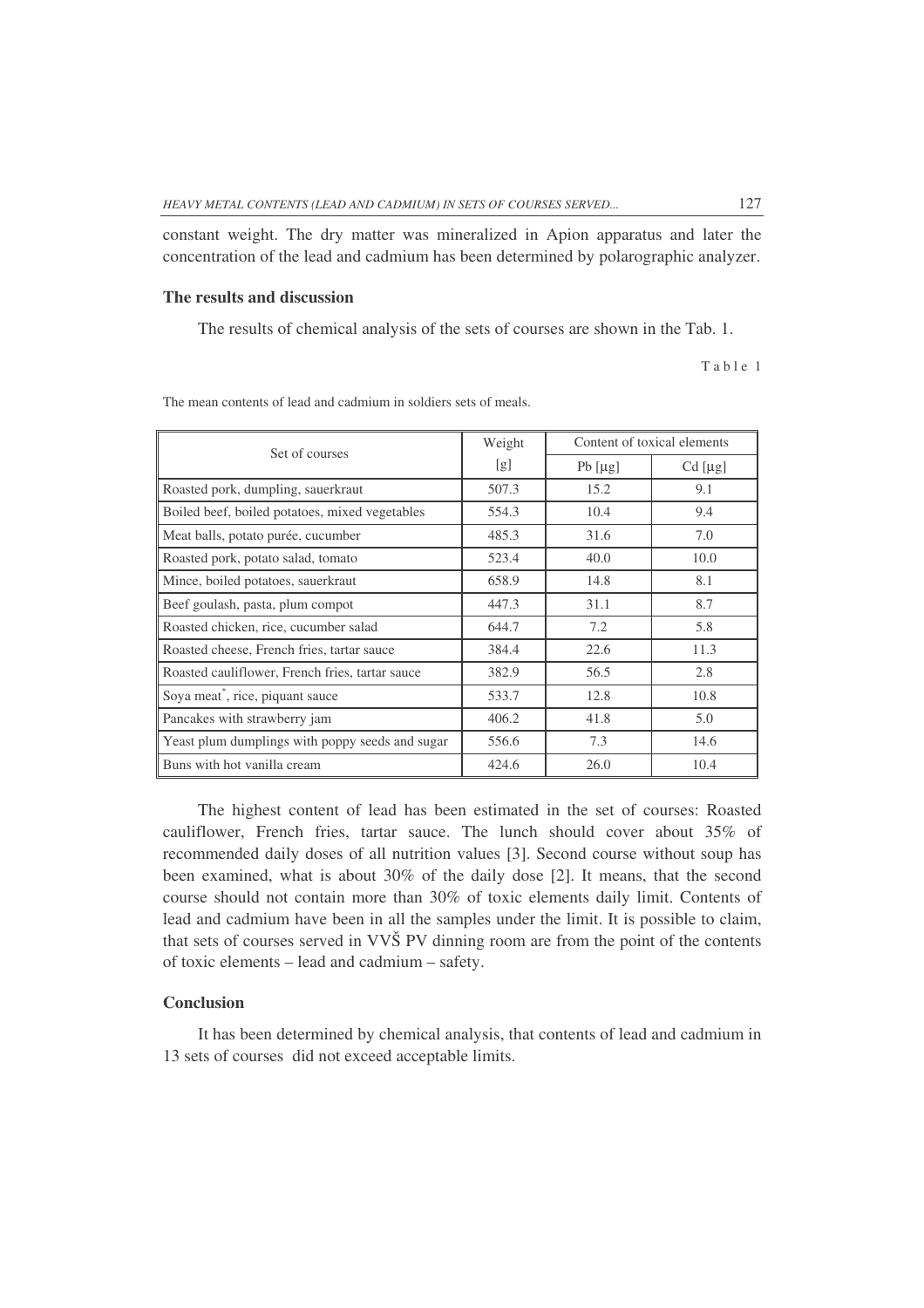constant weight. The dry matter was mineralized in Apion apparatus and later the concentration of the lead and cadmium has been determined by polarographic analyzer.

## **The results and discussion**

The results of chemical analysis of the sets of courses are shown in the Tab. 1.

Table 1

| Set of courses                                  | Weight | Content of toxical elements |           |
|-------------------------------------------------|--------|-----------------------------|-----------|
|                                                 | [g]    | $Pb$ [µg]                   | $Cd$ [µg] |
| Roasted pork, dumpling, sauerkraut              | 507.3  | 15.2                        | 9.1       |
| Boiled beef, boiled potatoes, mixed vegetables  | 554.3  | 10.4                        | 9.4       |
| Meat balls, potato purée, cucumber              | 485.3  | 31.6                        | 7.0       |
| Roasted pork, potato salad, tomato              | 523.4  | 40.0                        | 10.0      |
| Mince, boiled potatoes, sauerkraut              | 658.9  | 14.8                        | 8.1       |
| Beef goulash, pasta, plum compot                | 447.3  | 31.1                        | 8.7       |
| Roasted chicken, rice, cucumber salad           | 644.7  | 7.2                         | 5.8       |
| Roasted cheese, French fries, tartar sauce      | 384.4  | 22.6                        | 11.3      |
| Roasted cauliflower, French fries, tartar sauce | 382.9  | 56.5                        | 2.8       |
| Soya meat*, rice, piquant sauce                 | 533.7  | 12.8                        | 10.8      |
| Pancakes with strawberry jam                    | 406.2  | 41.8                        | 5.0       |
| Yeast plum dumplings with poppy seeds and sugar | 556.6  | 7.3                         | 14.6      |
| Buns with hot vanilla cream                     | 424.6  | 26.0                        | 10.4      |

The mean contents of lead and cadmium in soldiers sets of meals.

The highest content of lead has been estimated in the set of courses: Roasted cauliflower, French fries, tartar sauce. The lunch should cover about 35% of recommended daily doses of all nutrition values [3]. Second course without soup has been examined, what is about 30% of the daily dose [2]. It means, that the second course should not contain more than 30% of toxic elements daily limit. Contents of lead and cadmium have been in all the samples under the limit. It is possible to claim, that sets of courses served in VVŠ PV dinning room are from the point of the contents of toxic elements – lead and cadmium – safety.

#### **Conclusion**

It has been determined by chemical analysis, that contents of lead and cadmium in 13 sets of courses did not exceed acceptable limits.